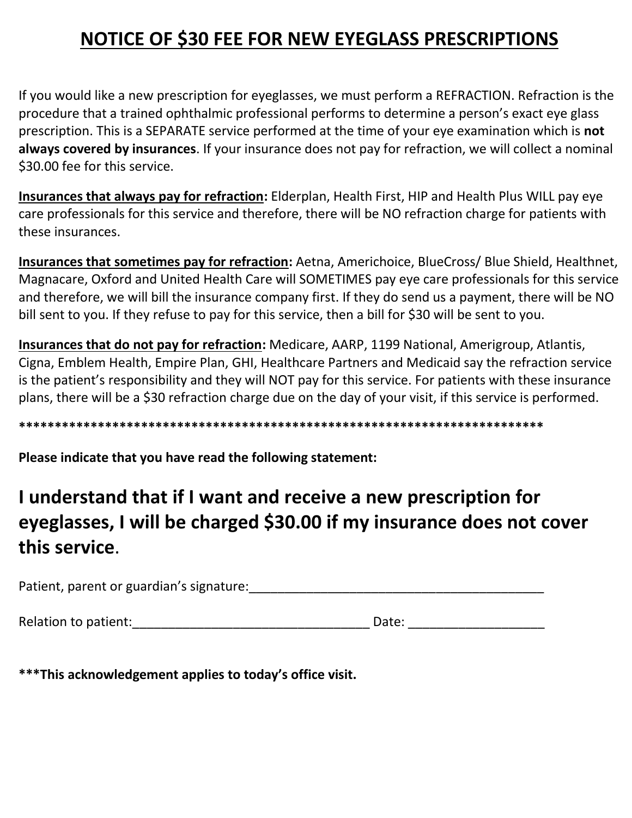## **NOTICE OF \$30 FEE FOR NEW EYEGLASS PRESCRIPTIONS**

If you would like a new prescription for eyeglasses, we must perform a REFRACTION. Refraction is the procedure that a trained ophthalmic professional performs to determine a person's exact eye glass prescription. This is a SEPARATE service performed at the time of your eye examination which is **not always covered by insurances**. If your insurance does not pay for refraction, we will collect a nominal \$30.00 fee for this service.

**Insurances that always pay for refraction:** Elderplan, Health First, HIP and Health Plus WILL pay eye care professionals for this service and therefore, there will be NO refraction charge for patients with these insurances.

**Insurances that sometimes pay for refraction:** Aetna, Americhoice, BlueCross/ Blue Shield, Healthnet, Magnacare, Oxford and United Health Care will SOMETIMES pay eye care professionals for this service and therefore, we will bill the insurance company first. If they do send us a payment, there will be NO bill sent to you. If they refuse to pay for this service, then a bill for \$30 will be sent to you.

**Insurances that do not pay for refraction:** Medicare, AARP, 1199 National, Amerigroup, Atlantis, Cigna, Emblem Health, Empire Plan, GHI, Healthcare Partners and Medicaid say the refraction service is the patient's responsibility and they will NOT pay for this service. For patients with these insurance plans, there will be a \$30 refraction charge due on the day of your visit, if this service is performed.

**\*\*\*\*\*\*\*\*\*\*\*\*\*\*\*\*\*\*\*\*\*\*\*\*\*\*\*\*\*\*\*\*\*\*\*\*\*\*\*\*\*\*\*\*\*\*\*\*\*\*\*\*\*\*\*\*\*\*\*\*\*\*\*\*\*\*\*\*\*\*\*\*\***

**Please indicate that you have read the following statement:**

## **I understand that if I want and receive a new prescription for eyeglasses, I will be charged \$30.00 if my insurance does not cover this service**.

Patient, parent or guardian's signature: <u>paralleled</u> and the set of the set of the set of the set of the set of the set of the set of the set of the set of the set of the set of the set of the set of the set of the set of

Relation to patient:\_\_\_\_\_\_\_\_\_\_\_\_\_\_\_\_\_\_\_\_\_\_\_\_\_\_\_\_\_\_\_\_\_ Date: \_\_\_\_\_\_\_\_\_\_\_\_\_\_\_\_\_\_\_

**\*\*\*This acknowledgement applies to today's office visit.**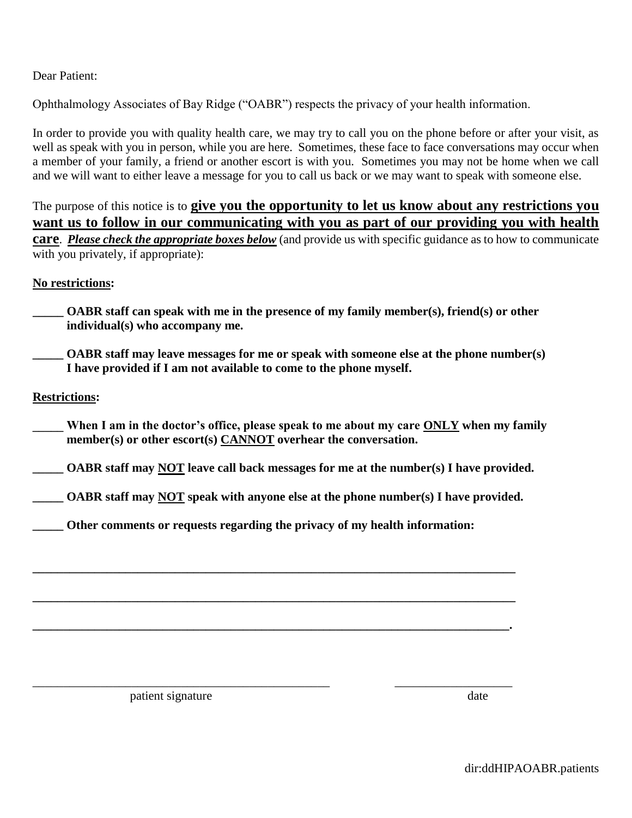Dear Patient:

Ophthalmology Associates of Bay Ridge ("OABR") respects the privacy of your health information.

In order to provide you with quality health care, we may try to call you on the phone before or after your visit, as well as speak with you in person, while you are here. Sometimes, these face to face conversations may occur when a member of your family, a friend or another escort is with you. Sometimes you may not be home when we call and we will want to either leave a message for you to call us back or we may want to speak with someone else.

The purpose of this notice is to **give you the opportunity to let us know about any restrictions you want us to follow in our communicating with you as part of our providing you with health care**. *Please check the appropriate boxes below* (and provide us with specific guidance as to how to communicate with you privately, if appropriate):

**No restrictions:**

**\_\_\_\_\_ OABR staff can speak with me in the presence of my family member(s), friend(s) or other individual(s) who accompany me.**

**OABR staff may leave messages for me or speak with someone else at the phone number(s) I have provided if I am not available to come to the phone myself.**

**Restrictions:**

**\_\_\_\_\_ When I am in the doctor's office, please speak to me about my care ONLY when my family member(s) or other escort(s) CANNOT overhear the conversation.**

**\_\_\_\_\_ OABR staff may NOT leave call back messages for me at the number(s) I have provided.**

**\_\_\_\_\_ OABR staff may NOT speak with anyone else at the phone number(s) I have provided.**

**\_\_\_\_\_\_\_\_\_\_\_\_\_\_\_\_\_\_\_\_\_\_\_\_\_\_\_\_\_\_\_\_\_\_\_\_\_\_\_\_\_\_\_\_\_\_\_\_\_\_\_\_\_\_\_\_\_\_\_\_\_\_\_\_\_\_\_\_\_\_\_\_\_\_\_\_\_\_**

**\_\_\_\_\_\_\_\_\_\_\_\_\_\_\_\_\_\_\_\_\_\_\_\_\_\_\_\_\_\_\_\_\_\_\_\_\_\_\_\_\_\_\_\_\_\_\_\_\_\_\_\_\_\_\_\_\_\_\_\_\_\_\_\_\_\_\_\_\_\_\_\_\_\_\_\_\_\_**

**\_\_\_\_\_\_\_\_\_\_\_\_\_\_\_\_\_\_\_\_\_\_\_\_\_\_\_\_\_\_\_\_\_\_\_\_\_\_\_\_\_\_\_\_\_\_\_\_\_\_\_\_\_\_\_\_\_\_\_\_\_\_\_\_\_\_\_\_\_\_\_\_\_\_\_\_\_.**

\_\_\_\_\_\_\_\_\_\_\_\_\_\_\_\_\_\_\_\_\_\_\_\_\_\_\_\_\_\_\_\_\_\_\_\_\_\_\_\_\_\_\_\_\_\_\_\_ \_\_\_\_\_\_\_\_\_\_\_\_\_\_\_\_\_\_\_

**\_\_\_\_\_ Other comments or requests regarding the privacy of my health information:**

patient signature date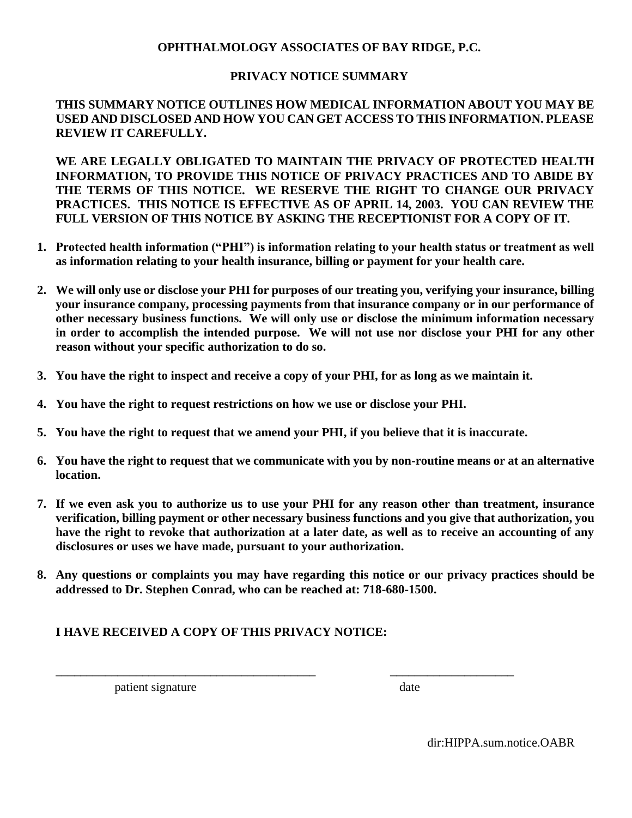#### **OPHTHALMOLOGY ASSOCIATES OF BAY RIDGE, P.C.**

#### **PRIVACY NOTICE SUMMARY**

#### **THIS SUMMARY NOTICE OUTLINES HOW MEDICAL INFORMATION ABOUT YOU MAY BE USED AND DISCLOSED AND HOW YOU CAN GET ACCESS TO THIS INFORMATION. PLEASE REVIEW IT CAREFULLY.**

**WE ARE LEGALLY OBLIGATED TO MAINTAIN THE PRIVACY OF PROTECTED HEALTH INFORMATION, TO PROVIDE THIS NOTICE OF PRIVACY PRACTICES AND TO ABIDE BY THE TERMS OF THIS NOTICE. WE RESERVE THE RIGHT TO CHANGE OUR PRIVACY PRACTICES. THIS NOTICE IS EFFECTIVE AS OF APRIL 14, 2003. YOU CAN REVIEW THE FULL VERSION OF THIS NOTICE BY ASKING THE RECEPTIONIST FOR A COPY OF IT.**

- **1. Protected health information ("PHI") is information relating to your health status or treatment as well as information relating to your health insurance, billing or payment for your health care.**
- **2. We will only use or disclose your PHI for purposes of our treating you, verifying your insurance, billing your insurance company, processing payments from that insurance company or in our performance of other necessary business functions. We will only use or disclose the minimum information necessary in order to accomplish the intended purpose. We will not use nor disclose your PHI for any other reason without your specific authorization to do so.**
- **3. You have the right to inspect and receive a copy of your PHI, for as long as we maintain it.**
- **4. You have the right to request restrictions on how we use or disclose your PHI.**
- **5. You have the right to request that we amend your PHI, if you believe that it is inaccurate.**

**\_\_\_\_\_\_\_\_\_\_\_\_\_\_\_\_\_\_\_\_\_\_\_\_\_\_\_\_\_\_\_\_\_\_\_\_\_\_\_\_\_\_ \_\_\_\_\_\_\_\_\_\_\_\_\_\_\_\_\_\_\_\_**

- **6. You have the right to request that we communicate with you by non-routine means or at an alternative location.**
- **7. If we even ask you to authorize us to use your PHI for any reason other than treatment, insurance verification, billing payment or other necessary business functions and you give that authorization, you have the right to revoke that authorization at a later date, as well as to receive an accounting of any disclosures or uses we have made, pursuant to your authorization.**
- **8. Any questions or complaints you may have regarding this notice or our privacy practices should be addressed to Dr. Stephen Conrad, who can be reached at: 718-680-1500.**

#### **I HAVE RECEIVED A COPY OF THIS PRIVACY NOTICE:**

patient signature date date

dir:HIPPA.sum.notice.OABR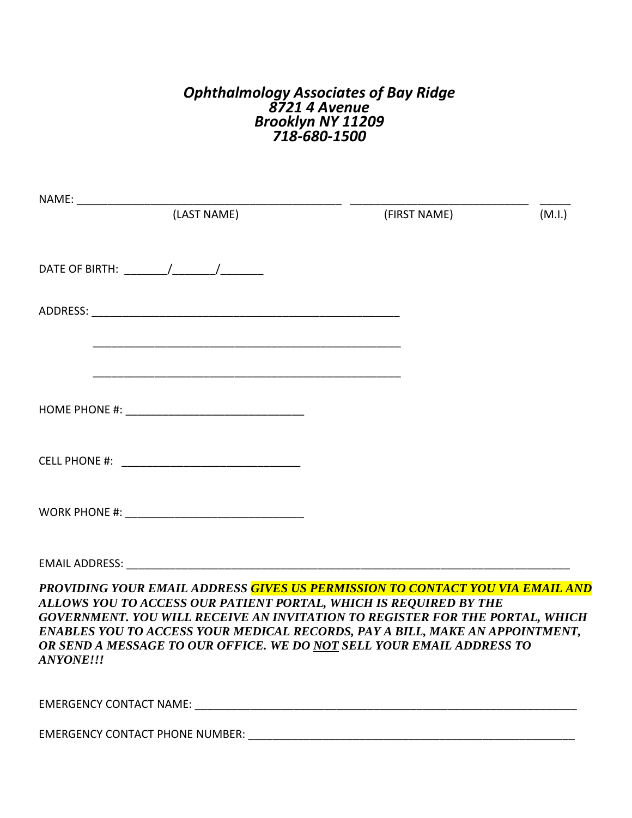### *Ophthalmology Associates of Bay Ridge 8721 4 Avenue Brooklyn NY 11209 718-680-1500*

|                                                                                                                                                                                                                                                                                                                                                                                                          | (FIRST NAME) | (M.I.) |
|----------------------------------------------------------------------------------------------------------------------------------------------------------------------------------------------------------------------------------------------------------------------------------------------------------------------------------------------------------------------------------------------------------|--------------|--------|
|                                                                                                                                                                                                                                                                                                                                                                                                          |              |        |
|                                                                                                                                                                                                                                                                                                                                                                                                          |              |        |
|                                                                                                                                                                                                                                                                                                                                                                                                          |              |        |
|                                                                                                                                                                                                                                                                                                                                                                                                          |              |        |
|                                                                                                                                                                                                                                                                                                                                                                                                          |              |        |
|                                                                                                                                                                                                                                                                                                                                                                                                          |              |        |
|                                                                                                                                                                                                                                                                                                                                                                                                          |              |        |
| PROVIDING YOUR EMAIL ADDRESS GIVES US PERMISSION TO CONTACT YOU VIA EMAIL AND<br>ALLOWS YOU TO ACCESS OUR PATIENT PORTAL, WHICH IS REQUIRED BY THE<br>GOVERNMENT. YOU WILL RECEIVE AN INVITATION TO REGISTER FOR THE PORTAL, WHICH<br>ENABLES YOU TO ACCESS YOUR MEDICAL RECORDS, PAY A BILL, MAKE AN APPOINTMENT,<br>OR SEND A MESSAGE TO OUR OFFICE. WE DO NOT SELL YOUR EMAIL ADDRESS TO<br>ANYONE!!! |              |        |
|                                                                                                                                                                                                                                                                                                                                                                                                          |              |        |
| <b>EMERGENCY CONTACT PHONE NUMBER:</b>                                                                                                                                                                                                                                                                                                                                                                   |              |        |